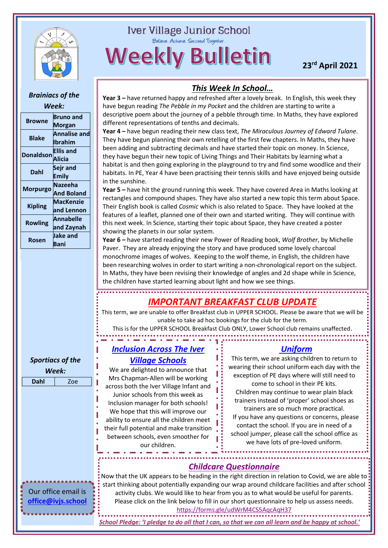

## **Iver Village Junior School**

Believe. Achieve. Succeed Together.

**Weekly Bulletin** 

**23rd April 2021**

#### *This Week In School… Brainiacs of the*  **Year 3 –** have returned happy and refreshed after a lovely break. In English, this week they have begun reading *The Pebble in my Pocket* and the children are starting to write a *Week:* descriptive poem about the journey of a pebble through time. In Maths, they have explored **Browne Bruno and**  different representations of tenths and decimals. **Morgan Year 4 –** have begun reading their new class text, *The Miraculous Journey of Edward Tulane*. **Blake Annalise and**  They have begun planning their own retelling of the first few chapters. In Maths, they have **Ibrahim** been adding and subtracting decimals and have started their topic on money. In Science, **Donaldson Ellis and**  they have begun their new topic of Living Things and Their Habitats by learning what a **Alicia** habitat is and then going exploring in the playground to try and find some woodlice and their **Dahl Sejr and**  habitats. In PE, Year 4 have been practising their tennis skills and have enjoyed being outside **Emily** in the sunshine. **Morpurgo Nazeeha Year 5 –** have hit the ground running this week. They have covered Area in Maths looking at **And Boland** rectangles and compound shapes. They have also started a new topic this term about Space. **Kipling MacKenzie**  Their English book is called *Cosmic* which is also related to Space. They have looked at the **and Lennon** features of a leaflet, planned one of their own and started writing. They will continue with **Rowling Annabelle**  this next week. In Science, starting their topic about Space, they have created a poster **and Zaynah** showing the planets in our solar system. **Rosen Jake and Year 6 –** have started reading their new Power of Reading book, *Wolf Brother*, by Michelle **Bani** Paver. They are already enjoying the story and have produced some lovely charcoal monochrome images of wolves. Keeping to the wolf theme, in English, the children have been researching wolves in order to start writing a non-chronological report on the subject. In Maths, they have been revising their knowledge of angles and 2d shape while in Science, the children have started learning about light and how we see things. *[IMPORTANT](https://www.ivervillage-jun.bucks.sch.uk/school-dinners.html) BREAKFAST CLUB UPDATE* This term, we are unable to offer Breakfast club in UPPER SCHOOL. Please be aware that we will be unable to take ad hoc bookings for the club for the term. This is for the UPPER SCHOOL Breakfast Club ONLY, Lower School club remains unaffected.*Inclusion Across The Iver Uniform Village Schools* This term, we are asking children to return to *Sportiacs of the*  wearing their school uniform each day with the We are delighted to announce that *Week:* exception of PE days where will still need to Mrs Chapman-Allen will be working **Dahl** Zoe come to school in their PE kits. across both the Iver Village Infant and Children may continue to wear plain black Junior schools from this week as trainers instead of 'proper' school shoes as Inclusion manager for both schools! trainers are so much more practical. We hope that this will improve our If you have any questions or concerns, please ability to ensure all the children meet contact the school. If you are in need of a their full potential and make transition school jumper, please call the school office as between schools, even smoother for we have lots of pre-loved uniform. our children. *[Childcare Questionnaire](https://forms.gle/udWrM4CS5AqcAqH37)* **Now that the UK appears to be heading in the right direction in relation to Covid, we are able to** start thinking about potentially expanding our wrap around childcare facilities and after school Our office email is activity clubs. We would like to hear from you as to what would be useful for parents. **[office@ivjs.school](mailto:office@ivjs.school)** Please click on the link below to fill in our short questionnaire to help us assess needs. <https://forms.gle/udWrM4CS5AqcAqH37>

*School Pledge: 'I pledge to do all that I can, so that we can all learn and be happy at school.'*